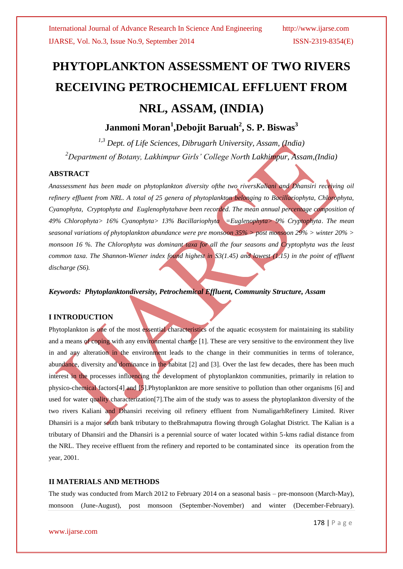# **PHYTOPLANKTON ASSESSMENT OF TWO RIVERS RECEIVING PETROCHEMICAL EFFLUENT FROM NRL, ASSAM, (INDIA)**

**Janmoni Moran<sup>1</sup> ,Debojit Baruah<sup>2</sup> , S. P. Biswas<sup>3</sup>**

*1,3 Dept. of Life Sciences, Dibrugarh University, Assam, (India) <sup>2</sup>Department of Botany, Lakhimpur Girls' College North Lakhimpur, Assam,(India)*

# **ABSTRACT**

*Anassessment has been made on phytoplankton diversity ofthe two riversKaliani and Dhansiri receiving oil refinery effluent from NRL. A total of 25 genera of phytoplankton belonging to Bacillariophyta, Chlorophyta, Cyanophyta, Cryptophyta and Euglenophytahave been recorded. The mean annual percentage composition of 49% Chlorophyta> 16% Cyanophyta> 13% Bacillariophyta =Euglenophyta> 9% Cryptophyta. The mean seasonal variations of phytoplankton abundance were pre monsoon 35% > post monsoon 29% > winter 20% > monsoon 16 %. The Chlorophyta was dominant taxa for all the four seasons and Cryptophyta was the least common taxa. The Shannon-Wiener index found highest in S3(1.45) and lowest (1.15) in the point of effluent discharge (S6).*

*Keywords: Phytoplanktondiversity, Petrochemical Effluent, Community Structure, Assam*

# **I INTRODUCTION**

Phytoplankton is one of the most essential characteristics of the aquatic ecosystem for maintaining its stability and a means of coping with any environmental change [1]. These are very sensitive to the environment they live in and any alteration in the environment leads to the change in their communities in terms of tolerance, abundance, diversity and dominance in the habitat [2] and [3]. Over the last few decades, there has been much interest in the processes influencing the development of phytoplankton communities, primarily in relation to physico-chemical factors[4] and [5].Phytoplankton are more sensitive to pollution than other organisms [6] and used for water quality characterization[7].The aim of the study was to assess the phytoplankton diversity of the two rivers Kaliani and Dhansiri receiving oil refinery effluent from NumaligarhRefinery Limited. River Dhansiri is a major south bank tributary to theBrahmaputra flowing through Golaghat District. The Kalian is a tributary of Dhansiri and the Dhansiri is a perennial source of water located within 5-kms radial distance from the NRL. They receive effluent from the refinery and reported to be contaminated since its operation from the year, 2001.

#### **II MATERIALS AND METHODS**

The study was conducted from March 2012 to February 2014 on a seasonal basis – pre-monsoon (March-May), monsoon (June-August), post monsoon (September-November) and winter (December-February).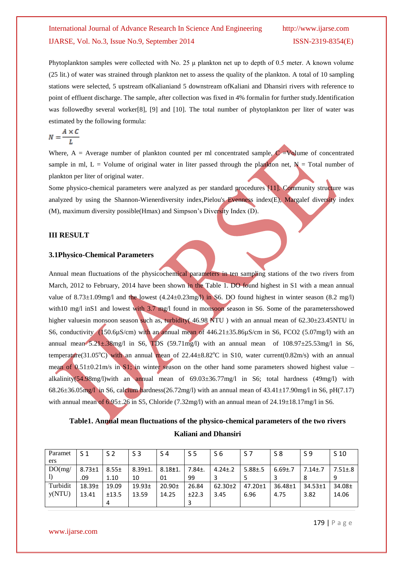Phytoplankton samples were collected with No. 25 μ plankton net up to depth of 0.5 meter. A known volume (25 lit.) of water was strained through plankton net to assess the quality of the plankton. A total of 10 sampling stations were selected, 5 upstream ofKalianiand 5 downstream ofKaliani and Dhansiri rivers with reference to point of effluent discharge. The sample, after collection was fixed in 4% formalin for further study.Identification was followedby several worker[8], [9] and [10]. The total number of phytoplankton per liter of water was estimated by the following formula:

$$
N = \frac{A \times C}{L}
$$

Where,  $A =$  Average number of plankton counted per ml concentrated sample,  $C =$ Volume of concentrated sample in ml,  $L =$  Volume of original water in liter passed through the plankton net,  $N =$  Total number of plankton per liter of original water.

Some physico-chemical parameters were analyzed as per standard procedures [11]. Community structure was analyzed by using the Shannon-Wienerdiversity index, Pielou's Evenness index $(E)$ , Margalef diversity index (M), maximum diversity possible(Hmax) and Simpson's Diversity Index (D).

#### **III RESULT**

#### **3.1Physico-Chemical Parameters**

Annual mean fluctuations of the physicochemical parameters in ten sampling stations of the two rivers from March, 2012 to February, 2014 have been shown in the Table 1. DO found highest in S1 with a mean annual value of  $8.73\pm1.09$ mg/l and the lowest  $(4.24\pm0.23$ mg/l) in S6. DO found highest in winter season  $(8.2 \text{ mg/l})$ with10 mg/l inS1 and lowest with 3.7 mg/l found in monsoon season in S6. Some of the parameters showed higher valuesin monsoon season such as, turbidity( 46.98 NTU ) with an annual mean of 62.30±23.45NTU in S6, conductivity (150.6 $\mu$ S/cm) with an annual mean of 446.21 $\pm$ 35.86 $\mu$ S/cm in S6, FCO2 (5.07mg/l) with an annual mean  $5.21 \pm .38$ mg/l in S6, TDS (59.71mg/l) with an annual mean of  $108.97 \pm 25.53$ mg/l in S6, temperature(31.05°C) with an annual mean of 22.44 $\pm$ 8.82°C in S10, water current(0.82m/s) with an annual mean of 0.51±0.21m/s in S1; in winter season on the other hand some parameters showed highest value – alkalinity(54.98mg/l)with an annual mean of 69.03±36.77mg/l in S6; total hardness (49mg/l) with 68.26 $\pm$ 36.05mg/l in S6, calcium hardness(26.72mg/l) with an annual mean of  $43.41\pm17.90$ mg/l in S6, pH(7.17) with annual mean of  $6.95\pm.26$  in S5, Chloride (7.32mg/l) with an annual mean of 24.19 $\pm 18.17$ mg/l in S6.

# **Table1. Annual mean fluctuations of the physico-chemical parameters of the two rivers Kaliani and Dhansiri**

| Paramet  | <b>S</b> 1         | S 2        | S3                 | S 4         | S <sub>5</sub> | S6            | S 7           | S8             | S 9           | S 10          |
|----------|--------------------|------------|--------------------|-------------|----------------|---------------|---------------|----------------|---------------|---------------|
| ers      |                    |            |                    |             |                |               |               |                |               |               |
| DO(mg)   | $8.73 \pm 1$       | $8.55 \pm$ | $8.39 \pm 1.$      | $8.18 + 1.$ | 7.84±.         | $4.24 \pm .2$ | $5.88 \pm .5$ | $6.69{\pm}$ .7 | $7.14 \pm .7$ | $7.51 \pm .8$ |
|          | .09                | 1.10       | 10                 | 01          | 99             |               |               |                |               | q             |
| Turbidit | 18.39 <sub>±</sub> | 19.09      | 19.93 <sub>±</sub> | $20.90+$    | 26.84          | $62.30 \pm 2$ | $47.20 \pm 1$ | 36.48±1        | $34.53 \pm 1$ | $34.08 \pm$   |
| y(NTU)   | 13.41              | ±13.5      | 13.59              | 14.25       | ±22.3          | 3.45          | 6.96          | 4.75           | 3.82          | 14.06         |
|          |                    | 4          |                    |             |                |               |               |                |               |               |

www.ijarse.com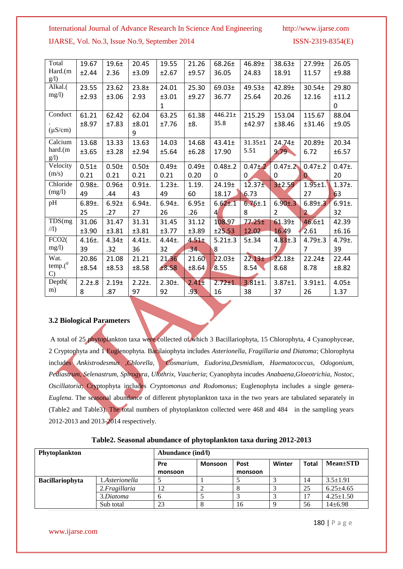#### International Journal of Advance Research In Science And Engineering http://www.ijarse.com

IJARSE, Vol. No.3, Issue No.9, September 2014 ISSN-2319-8354(E)

| Total         | 19.67        | $19.6+$           | 20.45        | 19.55             | 21.26             | $68.26 \pm$        | 46.89±             | 38.63 <sub>±</sub> | $27.99 \pm$    | 26.05        |
|---------------|--------------|-------------------|--------------|-------------------|-------------------|--------------------|--------------------|--------------------|----------------|--------------|
| Hard.(m       | ±2.44        | 2.36              | ±3.09        | ±2.67             | ±9.57             | 36.05              | 24.83              | 18.91              | 11.57          | ±9.88        |
| g(1)          |              |                   |              |                   |                   |                    |                    |                    |                |              |
| Alkal.        | 23.55        | 23.62             | $23.8 +$     | 24.01             | 25.30             | 69.03±             | $49.53 \pm$        | 42.89±             | 30.54±         | 29.80        |
| mg/l)         | ±2.93        | ±3.06             | 2.93         | ±3.01             | ±9.27             | 36.77              | 25.64              | 20.26              | 12.16          | ±11.2        |
|               |              |                   |              | 1                 |                   |                    |                    |                    |                | $\Omega$     |
| Conduct       | 61.21        | 62.42             | 62.04        | 63.25             | 61.38             | 446.21±            | 215.29             | 153.04             | 115.67         | 88.04        |
|               | ±8.97        | ±7.83             | ±8.01        | ±7.76             | ±8.               | 35.8               | ±42.97             | ±38.46             | ±31.46         | ±9.05        |
| $(\mu S/cm)$  |              |                   | 9            |                   |                   |                    |                    |                    |                |              |
| Calcium       | 13.68        | 13.33             | 13.63        | 14.03             | 14.68             | $43.41 \pm$        | $31.35 \pm 1$      | $24.74 \pm$        | 20.89±         | 20.34        |
| hard.(m       | ±3.65        | ±3.28             | ±2.94        | ±5.64             | ±6.28             | 17.90              | 5.51               | $9.79 -$           | 6.72           | ±6.57        |
| g(1)          |              |                   |              |                   |                   |                    |                    |                    |                |              |
| Velocity      | $0.51 +$     | $0.50+$           | $0.50+$      | 0.49 <sub>±</sub> | 0.49 <sub>±</sub> | $0.48 + 0.2$       | $0.47 + 2$         | $0.47 \pm .2$      | $0.47 \pm .2$  | $0.47±$ .    |
| (m/s)         | 0.21         | 0.21              | 0.21         | 0.21              | 0.20              | $\Omega$           | 0                  | $\Omega$           | 0              | 20           |
| Chloride      | $0.98 +$ .   | $0.96 +$          | $0.91 +$ .   | $1.23 +$ .        | 1.19.             | 24.19 <sub>±</sub> | 12.37 <sub>±</sub> | 3±2.59             | $1.95 + 1.$    | $1.37±$ .    |
| (mg/l)        | 49           | .44               | 43           | 49                | 60                | 18.17              | 6.73               |                    | 27             | 63           |
| pH            | $6.89 \pm .$ | $6.92 +$          | $6.94 \pm .$ | $6.94 \pm .$      | $6.95 \pm$        | $6.62 \pm .1$      | $6.76 \pm .1$      | $6.90 + .3$        | $6.89 + 3$     | $6.91 \pm .$ |
|               | 25           | .27               | 27           | 26                | .26               | $\overline{4}$     | 8                  | $\overline{2}$     | $\overline{2}$ | 32           |
| TDS(mg)       | 31.06        | 31.47             | 31.31        | 31.45             | 31.12             | 108.97             | $77.25 \pm$        | 61.39 <sub>±</sub> | $46.6 \pm 1$   | 42.39        |
| $\sqrt{1}$    | ±3.90        | ±3.81             | ±3.81        | ±3.77             | ±3.89             | ±25.53             | 12.02              | 16.49              | 2.61           | ±6.16        |
| FCO2(         | $4.16 +$     | 4.34 <sub>±</sub> | $4.41 \pm .$ | $4.44 \pm$ .      | $4.51 +$          | $5.21 \pm .3$      | $5 + .34$          | $4.83 \pm .3$      | $4.79 \pm .3$  | $4.79 \pm .$ |
| mg/l)         | 39           | .32               | 36           | 32                | .34.              | 8                  |                    | $\overline{7}$     | 7              | 39           |
| Wat.          | 20.86        | 21.08             | 21.21        | 21.36             | 21.60             | 22.03 <sub>±</sub> | 22.13 <sub>±</sub> | 22.18 <sub>±</sub> | 22.24±         | 22.44        |
| $temp.(^0)$   | ±8.54        | ±8.53             | ±8.58        | £8.58             | ±8.64             | 8.55               | 8.54               | 8.68               | 8.78           | ±8.82        |
| $\mathcal{C}$ |              |                   |              |                   |                   |                    |                    |                    |                |              |
| Depth(        | $2.2 \pm .8$ | 2.19 <sub>±</sub> | $2.22 \pm .$ | $2.30 \pm .$      | 2.41 <sup>±</sup> | $2.72 \pm 1.$      | $3.81 \pm 1.$      | $3.87 \pm 1.$      | $3.91 \pm 1.$  | $4.05 \pm$   |
| m)            | 8            | .87               | 97           | 92                | .93               | 16                 | 38                 | 37                 | 26             | 1.37         |

# **3.2 Biological Parameters**

A total of 25 phytoplankton taxa were collected of which 3 Bacillariophyta, 15 Chlorophyta, 4 Cyanophyceae, 2 Cryptophyta and 1 Euglenophyta. Bacilaiophyta includes *Asterionella, Fragillaria and Diatoma*; Chlorophyta includes *Ankistrodesmus ,Chlorella, Cosmarium, Eudorina,Desmidium, Haematococcus, Odogonium, Pediastrum, Selenastrum, Spirogyra*, *Ulothrix, Vaucheria*; Cyanophyta incudes *Anabaena,Gloeotrichia, Nostoc, Oscillatoria*; Cryptophyta includes *Cryptomonus and Rodomonus*; Euglenophyta includes a single genera-*Euglena*. The seasonal abundance of different phytoplankton taxa in the two years are tabulated separately in (Table2 and Table3). The total numbers of phytoplankton collected were 468 and 484 in the sampling years 2012-2013 and 2013-2014 respectively.

**Table2. Seasonal abundance of phytoplankton taxa during 2012-2013**

| Phytoplankton          |                | Abundance (ind/l) |                |         |        |              |                 |
|------------------------|----------------|-------------------|----------------|---------|--------|--------------|-----------------|
|                        |                | Pre               | <b>Monsoon</b> | Post    | Winter | <b>Total</b> | $Mean \pm STD$  |
|                        |                | monsoon           |                | monsoon |        |              |                 |
| <b>Bacillariophyta</b> | 1.Asterionella |                   |                |         |        | 14           | $3.5 \pm 1.91$  |
|                        | 2. Fragillaria | 12                |                |         |        | 25           | $6.25 \pm 4.65$ |
|                        | 3.Diatoma      | n                 |                |         |        |              | $4.25 \pm 1.50$ |
|                        | Sub total      | 23                |                | 16      |        | 56           | $14 \pm 6.98$   |

www.ijarse.com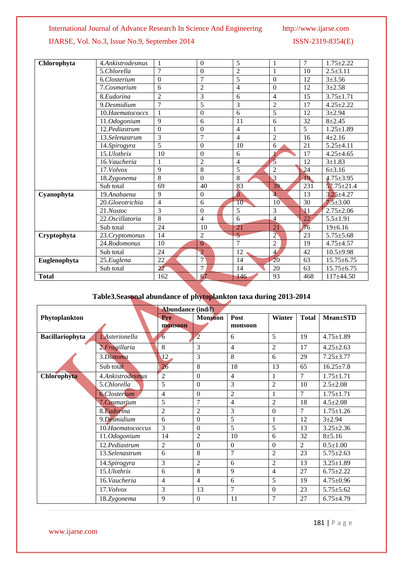# International Journal of Advance Research In Science And Engineering http://www.ijarse.com

# IJARSE, Vol. No.3, Issue No.9, September 2014 ISSN-2319-8354(E)

| Chlorophyta  | 4.Ankistrodesmus | $\mathbf{1}$             | $\boldsymbol{0}$ | 5               |                  | $\overline{7}$ | $1.75 \pm 2.22$  |
|--------------|------------------|--------------------------|------------------|-----------------|------------------|----------------|------------------|
|              | 5.Chlorella      | 7                        | $\overline{0}$   | $\overline{c}$  |                  | 10             | $2.5 \pm 3.11$   |
|              | 6.Closterium     | $\Omega$                 | 7                | 5               | $\boldsymbol{0}$ | 12             | $3 + 3.56$       |
|              | 7.Cosmarium      | 6                        | $\overline{2}$   | 4               | $\Omega$         | 12             | $3 + 2.58$       |
|              | 8.Eudorina       | $\overline{2}$           | 3                | 6               | $\overline{4}$   | 15             | $3.75 \pm 1.71$  |
|              | 9.Desmidium      | $\overline{7}$           | 5                | 3               | $\overline{2}$   | 17             | $4.25 \pm 2.22$  |
|              | 10.Haematococcs  |                          | $\boldsymbol{0}$ | 6               | 5                | 12             | $3 + 2.94$       |
|              | 11.Odogonium     | 9                        | 6                | 11              | 6                | 32             | $8 + 2.45$       |
|              | 12.Pediastrum    | $\Omega$                 | $\boldsymbol{0}$ | $\overline{4}$  |                  | 5              | $1.25 \pm 1.89$  |
|              | 13.Selenastrum   | 3                        | $\overline{7}$   | $\overline{4}$  | $\overline{2}$   | 16             | $4 + 2.16$       |
|              | 14.Spirogyra     | $\overline{5}$           | $\Omega$         | 10              | 6                | 21             | $5.25 \pm 4.11$  |
|              | 15. Ulothrix     | 10                       | $\boldsymbol{0}$ | 6               |                  | 17             | $4.25 \pm 4.65$  |
|              | 16. Vaucheria    |                          | $\overline{2}$   | 4               | $\mathfrak{s}$   | 12             | $3 + 1.83$       |
|              | 17. Volvox       | 9                        | 8                | 5               | $\overline{c}$   | 24             | 6±3.16           |
|              | 18.Zygonema      | 8                        | $\overline{0}$   | 8               | 3                | 19             | $4.75 \pm 3.95$  |
|              | Sub total        | 69                       | 40               | 83              | 39               | 231            | $57.75 \pm 21.4$ |
| Cyanophyta   | 19.Anabaena      | 9                        | $\boldsymbol{0}$ | $\overline{0}$  | $\overline{4}$   | 13             | $3.25 \pm 4.27$  |
|              | 20.Gloeotrichia  | $\overline{\mathcal{L}}$ | 6                | 10 <sub>1</sub> | 10               | 30             | $7.5 \pm 3.00$   |
|              | 21.Nostoc        | 3                        | $\Omega$         | 5               | 3                | $\mathbf{V}$   | $2.75 \pm 2.06$  |
|              | 22. Oscillatoria | $\overline{8}$           | $\overline{4}$   | 6               | $\overline{A}$   | 22             | $5.5 \pm 1.91$   |
|              | Sub total        | 24                       | 10               | 21              | 21               | 76             | 19±6.16          |
| Cryptophyta  | 23. Cryptomonus  | 14                       | $\overline{c}$   | $\overline{5}$  | $\overline{2}$   | 23             | $5.75 \pm 5.68$  |
|              | 24.Rodomonus     | 10                       | $\theta$         | $\overline{7}$  | $\overline{2}$   | 19             | $4.75 \pm 4.57$  |
|              | Sub total        | 24                       | $\overline{2}$   | 12              | $\overline{4}$   | 42             | $10.5+9.98$      |
| Euglenophyta | 25.Euglena       | 22                       | $\overline{7}$   | 14              | 20               | 63             | $15.75 \pm 6.75$ |
|              | Sub total        | 22                       | 7                | 14              | 20               | 63             | $15.75 \pm 6.75$ |
| <b>Total</b> |                  | 162                      | 67               | 146             | 93               | 468            | $117\pm 44.50$   |

# **Table3.Seasonal abundance of phytoplankton taxa during 2013-2014**

|                        |                      | <b>Abundance (ind/l)</b> |                |                |                |              |                 |
|------------------------|----------------------|--------------------------|----------------|----------------|----------------|--------------|-----------------|
| Phytoplankton          |                      | Pre                      | <b>Monsoon</b> | Post           | Winter         | <b>Total</b> | $Mean \pm STD$  |
|                        |                      | monsoon                  |                | monsoon        |                |              |                 |
| <b>Bacillariophyta</b> | 1.Asterionella       | 6                        | $\overline{2}$ | 6              | 5              | 19           | $4.75 \pm 1.89$ |
|                        | 2. Fragillaria       | 8                        | 3              | $\overline{4}$ | 2              | 17           | $4.25 \pm 2.63$ |
|                        | 3.Diatoma            | 12 <sub>1</sub>          | 3              | 8              | 6              | 29           | $7.25 \pm 3.77$ |
|                        | Sub total            | 26                       | 8              | 18             | 13             | 65           | $16.25 \pm 7.8$ |
| Chlorophyta            | 4.Ankistrodesmus     | $\overline{c}$           | $\theta$       | $\overline{4}$ | 1              | 7            | $1.75 \pm 1.71$ |
|                        | 5.Chlorella          | 5                        | $\Omega$       | 3              | $\overline{2}$ | 10           | $2.5 \pm 2.08$  |
|                        | <b>6.</b> Closterium | $\overline{4}$           | $\theta$       | $\overline{2}$ |                | 7            | $1.75 \pm 1.71$ |
|                        | 7.Cosmarium          | 5                        | $\overline{7}$ | 4              | $\overline{2}$ | 18           | $4.5 \pm 2.08$  |
|                        | 8.Eudorina           | $\overline{c}$           | $\overline{c}$ | 3              | $\Omega$       | 7            | $1.75 \pm 1.26$ |
|                        | 9.Desmidium          | 6                        | $\theta$       | 5              | 1              | 12           | $3 + 2.94$      |
|                        | 10.Haematococcus     | 3                        | $\theta$       | 5              | 5              | 13           | $3.25 \pm 2.36$ |
|                        | 11.Odogonium         | 14                       | $\overline{2}$ | 10             | 6              | 32           | $8 + 5.16$      |
|                        | 12.Pediastrum        | 2                        | $\Omega$       | $\mathbf{0}$   | $\Omega$       | 2            | $0.5 \pm 1.00$  |
|                        | 13.Selenastrum       | 6                        | 8              | $\overline{7}$ | $\overline{2}$ | 23           | $5.75 \pm 2.63$ |
|                        | 14. Spirogyra        | $\mathfrak{Z}$           | $\overline{2}$ | 6              | $\overline{2}$ | 13           | $3.25 \pm 1.89$ |
|                        | 15. Ulothrix         | 6                        | 8              | 9              | $\overline{4}$ | 27           | $6.75 \pm 2.22$ |
|                        | 16.Vaucheria         | $\overline{4}$           | $\overline{4}$ | 6              | 5              | 19           | $4.75 \pm 0.96$ |
|                        | 17. Volvox           | 3                        | 13             | 7              | $\Omega$       | 23           | $5.75 \pm 5.62$ |
|                        | 18.Zygonema          | 9                        | $\theta$       | 11             | $\tau$         | 27           | $6.75 \pm 4.79$ |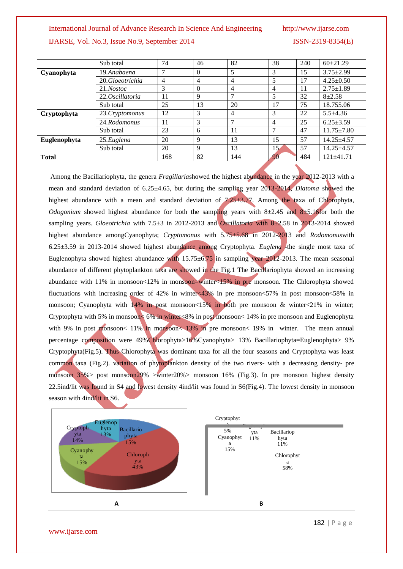#### International Journal of Advance Research In Science And Engineering http://www.ijarse.com

# IJARSE, Vol. No.3, Issue No.9, September 2014 ISSN-2319-8354(E)

|              | Sub total       | 74             | 46       | 82             | 38              | 240 | $60\pm21.29$     |
|--------------|-----------------|----------------|----------|----------------|-----------------|-----|------------------|
| Cyanophyta   | 19.Anabaena     | 7              | $\Omega$ | 5              | 3               | 15  | $3.75 \pm 2.99$  |
|              | 20.Gloeotrichia | $\overline{4}$ | 4        | 4              | 5               | 17  | $4.25 \pm 0.50$  |
|              | 21.Nostoc       | 3              | $\Omega$ | $\overline{4}$ | 4               | 11  | $2.75 \pm 1.89$  |
|              | 22.Oscillatoria | 11             | 9        | 7              |                 | 32  | $8 + 2.58$       |
|              | Sub total       | 25             | 13       | 20             | 17              | 75  | 18.755.06        |
| Cryptophyta  | 23. Cryptomonus | 12             | 3        | 4              | 3               | 22  | $5.5 \pm 4.36$   |
|              | 24.Rodomonus    | 11             | 3        |                | 4               | 25  | $6.25 \pm 3.59$  |
|              | Sub total       | 23             | 6        | 11             |                 | 47  | $11.75 \pm 7.80$ |
| Euglenophyta | 25. Eugena      | 20             | 9        | 13             | 15              | 57  | $14.25 + 4.57$   |
|              | Sub total       | 20             | 9        | 13             | 15 <sub>6</sub> | 57  | $14.25 + 4.57$   |
| <b>Total</b> |                 | 168            | 82       | 144            | 90              | 484 | $121 \pm 41.71$  |

Among the Bacillariophyta, the genera *Fragillaria*showed the highest abundance in the year 2012-2013 with a mean and standard deviation of 6.25±4.65, but during the sampling year 2013-2014, *Diatoma* showed the highest abundance with a mean and standard deviation of  $7.25\pm3.77$ . Among the taxa of Chlorophyta, *Odogonium* showed highest abundance for both the sampling years with  $8\pm2.45$  and  $8\pm5.16$  for both the sampling years. *Gloeotrichia* with 7.5±3 in 2012-2013 and *Oscillatoria* with 8±2.58 in 2013-2014 showed highest abundance amongCyanophyta; *Cryptomonus* with 5.75±5.68 in 2012-2013 and *Rodomonus*with 6.25±3.59 in 2013-2014 showed highest abundance among Cryptophyta. *Euglena* -the single most taxa of Euglenophyta showed highest abundance with 15.75±6.75 in sampling year 2012-2013. The mean seasonal abundance of different phytoplankton taxa are showed in the Fig.1 The Bacillariophyta showed an increasing abundance with 11% in monsoon<12% in monsoon=winter<15% in pre monsoon. The Chlorophyta showed fluctuations with increasing order of 42% in winter $\langle 43\%$  in pre monsoon $\langle 57\%$  in post monsoon $\langle 58\%$  in monsoon; Cyanophyta with  $14\%$  in post monsoon<15% in both pre monsoon & winter $\langle 21\%$  in winter; Cryptophyta with 5% in monsoon< 6% in winter<8% in post monsoon< 14% in pre monsoon and Euglenophyta with 9% in post monsoon< 11% in monsoon< 13% in pre monsoon< 19% in winter. The mean annual percentage composition were 49%Chlorophyta>16%Cyanophyta> 13% Bacillariophyta=Euglenophyta> 9% Cryptophyta(Fig.5). Thus Chlorophyta was dominant taxa for all the four seasons and Cryptophyta was least common taxa (Fig.2). variation of phytoplankton density of the two rivers- with a decreasing density- pre monsoon 35% post monsoon29% >winter20% > monsoon 16% (Fig.3). In pre monsoon highest density 22.5ind/lit was found in S4 and lowest density 4ind/lit was found in S6(Fig.4). The lowest density in monsoon season with 4ind/lit in S6.



www.ijarse.com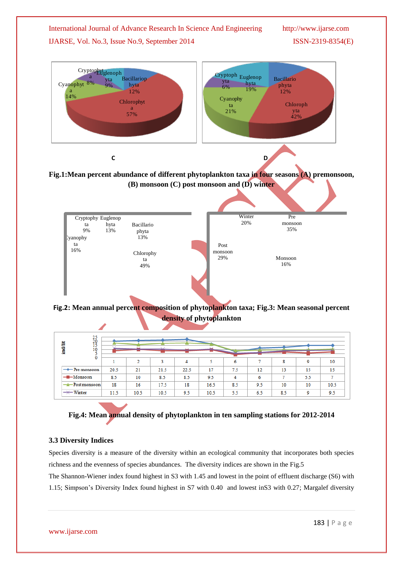



29%

ta 49%

| $\frac{25}{20}$<br>ind/lit<br>10<br>0 |      |        |        |      |      |     |     |     |     |      |
|---------------------------------------|------|--------|--------|------|------|-----|-----|-----|-----|------|
|                                       |      | $\sim$ | $\sim$ | 4    |      | 6   |     | 8   | ٥   | 10   |
| $\rightarrow$ Pre monsoon             | 20.5 | 21     | 21.5   | 22.5 | 17   | 7.5 | 12  | 13  | 15  | 15   |
| $-Monsoon$                            | 8.5  | 10     | 8.5    | 8.5  | 9.5  | 4   | 6   |     | 5.5 | n    |
| - Post monsoon                        | 18   | 16     | 17.5   | 18   | 16.5 | 8.5 | 9.5 | 10  | 10  | 10.5 |
| $\rightarrow\leftarrow$ Winter        | 11.5 | 10.5   | 10.5   | 9.5  | 10.5 | 5.5 | 6.5 | 8.5 | 9   | 9.5  |



# **3.3 Diversity Indices**

Species diversity is a measure of the diversity within an ecological community that incorporates both species richness and the evenness of species abundances. The diversity indices are shown in the Fig.5

The Shannon-Wiener index found highest in S3 with 1.45 and lowest in the point of effluent discharge (S6) with 1.15; Simpson's Diversity Index found highest in S7 with 0.40 and lowest inS3 with 0.27; Margalef diversity

Monsoon 16%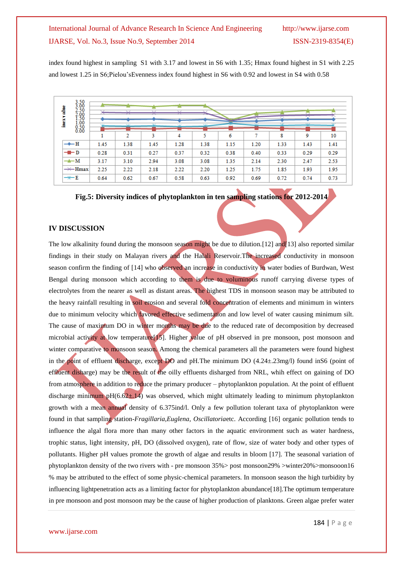index found highest in sampling S1 with 3.17 and lowest in S6 with 1.35; Hmax found highest in S1 with 2.25 and lowest 1.25 in S6;Pielou'sEvenness index found highest in S6 with 0.92 and lowest in S4 with 0.58

| 3.50<br>3.00<br>릝<br>2.50<br>2.00<br>1.50                             |      | $\sim$ | $\sim$ | $\sim$ |      |      |         |      |                |      |
|-----------------------------------------------------------------------|------|--------|--------|--------|------|------|---------|------|----------------|------|
| inex"<br>1.00<br>$0.50$<br>$0.00$                                     |      | N.L.C  | ND.    | 5.12   | NR.  |      | $-0.12$ |      | $\overline{M}$ |      |
|                                                                       |      | 2      | 3      | 4      | 5    | 6    | π       | 8    | 9              | 10   |
| $\rightarrow$ $\rightarrow$ $\rightarrow$ $\rightarrow$ $\rightarrow$ | 1.45 | 1.38   | 1.45   | 1.28   | 1.38 | 1.15 | 1.20    | 1.33 | 1.43           | 1.41 |
| $-\blacksquare$ $\vdash$ $D$                                          | 0.28 | 0.31   | 0.27   | 0.37   | 0.32 | 0.38 | 0.40    | 0.33 | 0.29           | 0.29 |
| $\rightarrow M$                                                       | 3.17 | 3.10   | 2.94   | 3.08   | 3.08 | 1.35 | 2.14    | 2.30 | 2.47           | 2.53 |
| $\rightarrow\leftarrow$ Hmax                                          | 2.25 | 2.22   | 2.18   | 2.22   | 2.20 | 1.25 | 1.75    | 1.85 | 1.93           | 1.95 |
| $+E$                                                                  | 0.64 | 0.62   | 0.67   | 0.58   | 0.63 | 0.92 | 0.69    | 0.72 | 0.74           | 0.73 |

**Fig.5: Diversity indices of phytoplankton in ten sampling stations for 2012-2014**

# **IV DISCUSSION**

The low alkalinity found during the monsoon season might be due to dilution.[12] and [13] also reported similar findings in their study on Malayan rivers and the Halali Reservoir.The increased conductivity in monsoon season confirm the finding of [14] who observed an increase in conductivity in water bodies of Burdwan, West Bengal during monsoon which according to them is due to voluminous runoff carrying diverse types of electrolytes from the nearer as well as distant areas. The highest TDS in monsoon season may be attributed to the heavy rainfall resulting in soil erosion and several fold concentration of elements and minimum in winters due to minimum velocity which favored effective sedimentation and low level of water causing minimum silt. The cause of maximum DO in winter months may be due to the reduced rate of decomposition by decreased microbial activity at low temperature[15]. Higher value of pH observed in pre monsoon, post monsoon and winter comparative to monsoon season. Among the chemical parameters all the parameters were found highest in the point of effluent discharge, except DO and pH.The minimum DO (4.24±.23mg/l) found inS6 (point of effluent disharge) may be the result of the oilly effluents disharged from NRL, whih effect on gaining of DO from atmosphere in addition to reduce the primary producer – phytoplankton population. At the point of effluent discharge minimum pH( $6.62\pm14$ ) was observed, which might ultimately leading to minimum phytoplankton growth with a mean annual density of 6.375ind/l. Only a few pollution tolerant taxa of phytoplankton were found in that sampling station-*Fragillaria,Euglena, Oscillatoria*etc. According [16] organic pollution tends to influence the algal flora more than many other factors in the aquatic environment such as water hardness, trophic status, light intensity, pH, DO (dissolved oxygen), rate of flow, size of water body and other types of pollutants. Higher pH values promote the growth of algae and results in bloom [17]. The seasonal variation of phytoplankton density of the two rivers with - pre monsoon 35%> post monsoon29% >winter20%>monsooon16 % may be attributed to the effect of some physic-chemical parameters. In monsoon season the high turbidity by influencing lightpenetration acts as a limiting factor for phytoplankton abundance[18].The optimum temperature in pre monsoon and post monsoon may be the cause of higher production of planktons. Green algae prefer water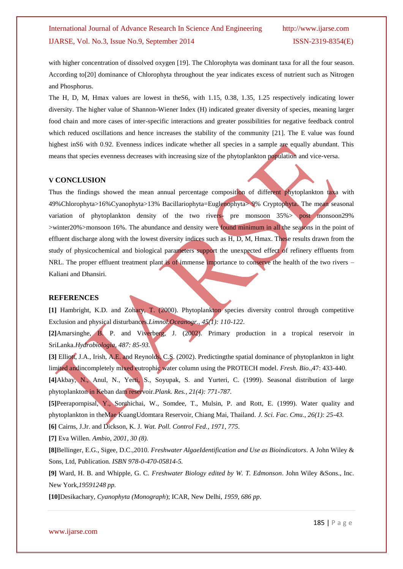with higher concentration of dissolved oxygen [19]. The Chlorophyta was dominant taxa for all the four season. According to[20] dominance of Chlorophyta throughout the year indicates excess of nutrient such as Nitrogen and Phosphorus.

The H, D, M, Hmax values are lowest in theS6, with 1.15, 0.38, 1.35, 1.25 respectively indicating lower diversity. The higher value of Shannon-Wiener Index (H) indicated greater diversity of species, meaning larger food chain and more cases of inter-specific interactions and greater possibilities for negative feedback control which reduced oscillations and hence increases the stability of the community [21]. The E value was found highest inS6 with 0.92. Evenness indices indicate whether all species in a sample are equally abundant. This means that species evenness decreases with increasing size of the phytoplankton population and vice-versa.

#### **V CONCLUSION**

Thus the findings showed the mean annual percentage composition of different phytoplankton taxa with 49%Chlorophyta>16%Cyanophyta>13% Bacillariophyta=Euglenophyta> 9% Cryptophyta. The mean seasonal variation of phytoplankton density of the two rivers- pre monsoon  $35\%$  post monsoon29% >winter20%>monsoon 16%. The abundance and density were found minimum in all the seasons in the point of effluent discharge along with the lowest diversity indices such as  $H, D, M$ , Hmax. These results drawn from the study of physicochemical and biological parameters support the unexpected effect of refinery effluents from NRL. The proper effluent treatment plant is of immense importance to conserve the health of the two rivers – Kaliani and Dhansiri.

#### **REFERENCES**

**[1]** Hambright, K.D. and Zohary, T. (2000). Phytoplankton species diversity control through competitive Exclusion and physical disturbances.*Limnol.Oceanogr., 45(1): 110-122*.

**[2]**Amarsinghe, B. P. and Viverberg, J. (2002). Primary production in a tropical reservoir in SriLanka.*Hydrobiologia*, *487: 85-93.*

**[3]** Elliott, J.A., Irish, A.E. and Reynolds, C.S. (2002). Predictingthe spatial dominance of phytoplankton in light limited andincompletely mixed eutrophic water column using the PROTECH model. *Fresh. Bio*.,47: 433-440.

**[4]**Akbay, N., Anul, N., Yerti, S., Soyupak, S. and Yurteri, C. (1999). Seasonal distribution of large phytoplankton in Keban dam reservoir.*Plank. Res., 21(4): 771-787.*

**[5]**Peerapornpisal, Y., Sonthichai, W., Somdee, T., Mulsin, P. and Rott, E. (1999). Water quality and phytoplankton in theMae KuangUdomtara Reservoir, Chiang Mai, Thailand*. J. Sci. Fac. Cmu., 26(1): 25-43.*

**[6]** Cairns, J.Jr. and Dickson, K. J. *Wat. Poll. Control Fed., 1971, 775*.

**[7]** Eva Willen. *Ambio*, *2001, 30 (8).*

**[8]**Bellinger, E.G., Sigee, D.C.,2010. *Freshwater AlgaeIdentification and Use as Bioindicators*. A John Wiley & Sons, Ltd, Publication*. ISBN 978-0-470-05814-5.*

**[9]** Ward, H. B. and Whipple, G. C. *Freshwater Biology edited by W. T. Edmonson*. John Wiley &Sons., Inc. New York,*19591248 pp.*

**[10]**Desikachary, *Cyanophyta (Monograph*); ICAR, New Delhi*, 1959, 686 pp*.